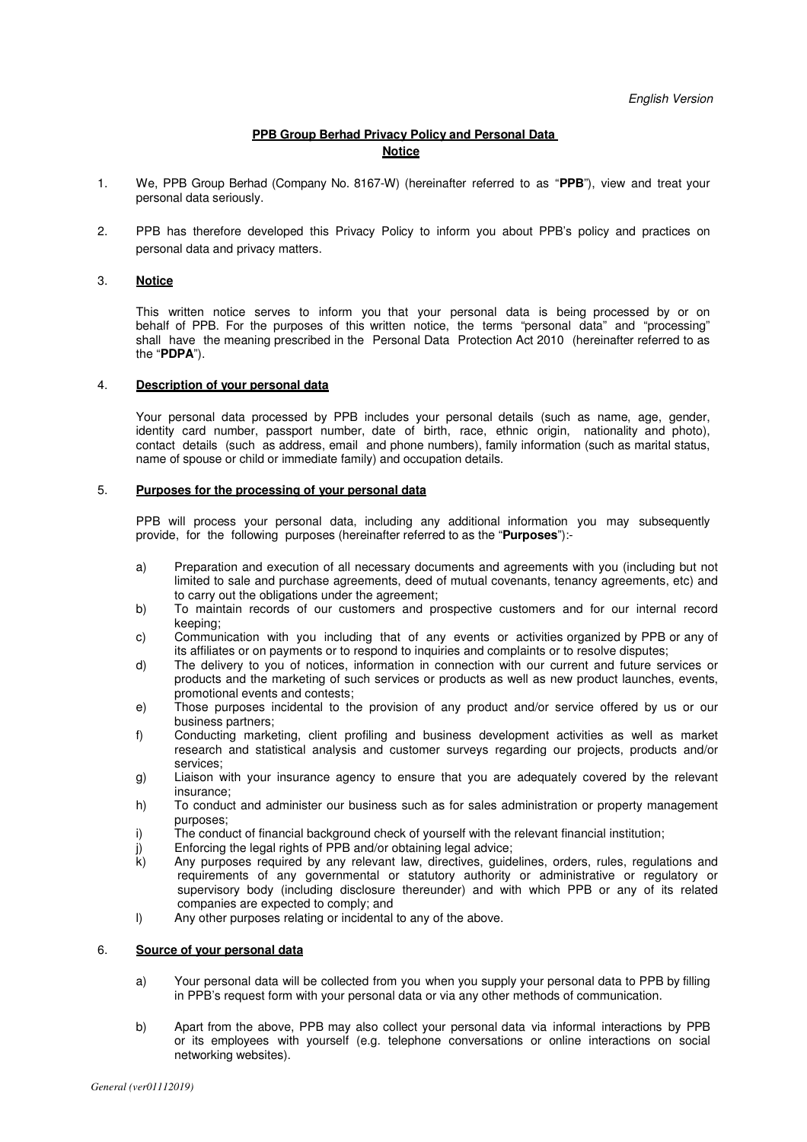# **PPB Group Berhad Privacy Policy and Personal Data Notice**

- 1. We, PPB Group Berhad (Company No. 8167-W) (hereinafter referred to as "**PPB**"), view and treat your personal data seriously.
- 2. PPB has therefore developed this Privacy Policy to inform you about PPB's policy and practices on personal data and privacy matters.

## 3. **Notice**

This written notice serves to inform you that your personal data is being processed by or on behalf of PPB. For the purposes of this written notice, the terms "personal data" and "processing" shall have the meaning prescribed in the Personal Data Protection Act 2010 (hereinafter referred to as the "**PDPA**").

#### 4. **Description of your personal data**

Your personal data processed by PPB includes your personal details (such as name, age, gender, identity card number, passport number, date of birth, race, ethnic origin, nationality and photo), contact details (such as address, email and phone numbers), family information (such as marital status, name of spouse or child or immediate family) and occupation details.

#### 5. **Purposes for the processing of your personal data**

PPB will process your personal data, including any additional information you may subsequently provide, for the following purposes (hereinafter referred to as the "**Purposes**"):-

- a) Preparation and execution of all necessary documents and agreements with you (including but not limited to sale and purchase agreements, deed of mutual covenants, tenancy agreements, etc) and to carry out the obligations under the agreement;
- b) To maintain records of our customers and prospective customers and for our internal record keeping;
- c) Communication with you including that of any events or activities organized by PPB or any of its affiliates or on payments or to respond to inquiries and complaints or to resolve disputes;
- d) The delivery to you of notices, information in connection with our current and future services or products and the marketing of such services or products as well as new product launches, events, promotional events and contests;
- e) Those purposes incidental to the provision of any product and/or service offered by us or our business partners;
- f) Conducting marketing, client profiling and business development activities as well as market research and statistical analysis and customer surveys regarding our projects, products and/or services;
- g) Liaison with your insurance agency to ensure that you are adequately covered by the relevant insurance;
- h) To conduct and administer our business such as for sales administration or property management purposes;
- i) The conduct of financial background check of yourself with the relevant financial institution;
- j) Enforcing the legal rights of PPB and/or obtaining legal advice;
- k) Any purposes required by any relevant law, directives, guidelines, orders, rules, regulations and requirements of any governmental or statutory authority or administrative or regulatory or supervisory body (including disclosure thereunder) and with which PPB or any of its related companies are expected to comply; and
- l) Any other purposes relating or incidental to any of the above.

### 6. **Source of your personal data**

- a) Your personal data will be collected from you when you supply your personal data to PPB by filling in PPB's request form with your personal data or via any other methods of communication.
- b) Apart from the above, PPB may also collect your personal data via informal interactions by PPB or its employees with yourself (e.g. telephone conversations or online interactions on social networking websites).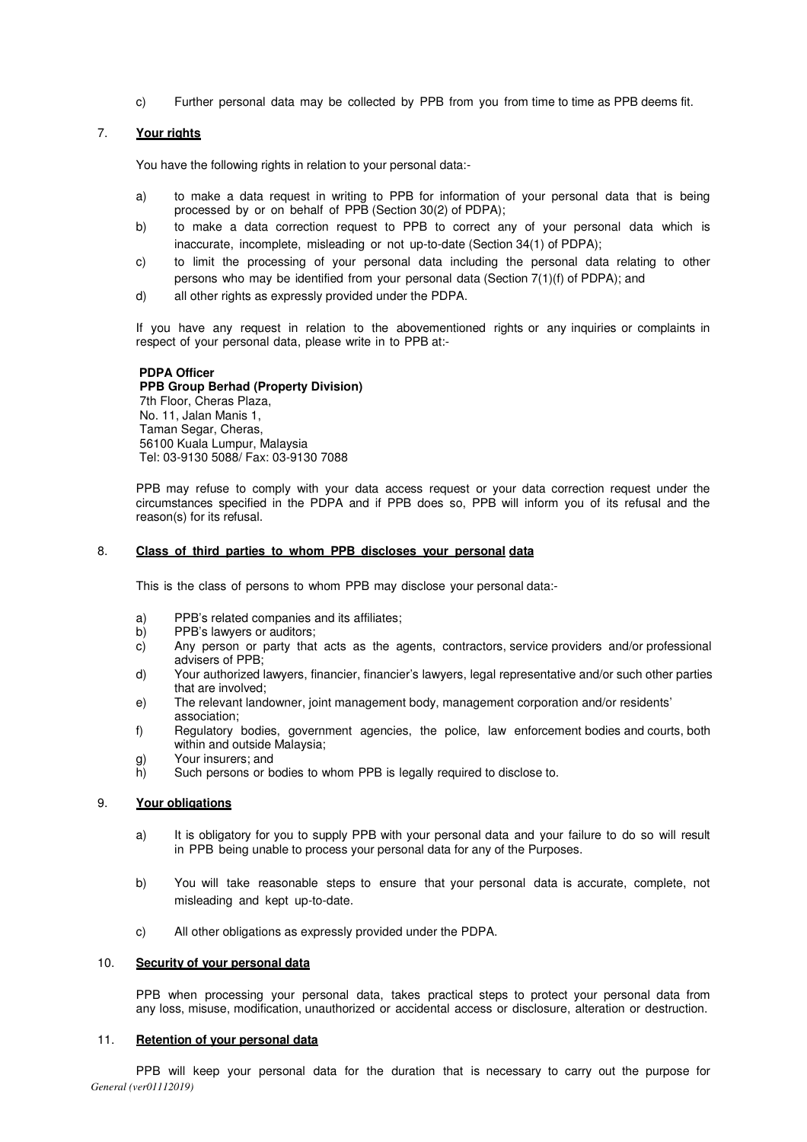c) Further personal data may be collected by PPB from you from time to time as PPB deems fit.

# 7. **Your rights**

You have the following rights in relation to your personal data:-

- a) to make a data request in writing to PPB for information of your personal data that is being processed by or on behalf of PPB (Section 30(2) of PDPA);
- b) to make a data correction request to PPB to correct any of your personal data which is inaccurate, incomplete, misleading or not up-to-date (Section 34(1) of PDPA);
- c) to limit the processing of your personal data including the personal data relating to other persons who may be identified from your personal data (Section 7(1)(f) of PDPA); and
- d) all other rights as expressly provided under the PDPA.

If you have any request in relation to the abovementioned rights or any inquiries or complaints in respect of your personal data, please write in to PPB at:-

# **PDPA Officer**

## **PPB Group Berhad (Property Division)**

 7th Floor, Cheras Plaza, No. 11, Jalan Manis 1, Taman Segar, Cheras, 56100 Kuala Lumpur, Malaysia Tel: 03-9130 5088/ Fax: 03-9130 7088

PPB may refuse to comply with your data access request or your data correction request under the circumstances specified in the PDPA and if PPB does so, PPB will inform you of its refusal and the reason(s) for its refusal.

### 8. **Class of third parties to whom PPB discloses your personal data**

This is the class of persons to whom PPB may disclose your personal data:-

- a) PPB's related companies and its affiliates;
- b) PPB's lawyers or auditors;
- c) Any person or party that acts as the agents, contractors, service providers and/or professional advisers of PPB;
- d) Your authorized lawyers, financier, financier's lawyers, legal representative and/or such other parties that are involved;
- e) The relevant landowner, joint management body, management corporation and/or residents' association;
- f) Regulatory bodies, government agencies, the police, law enforcement bodies and courts, both within and outside Malaysia;
- g) Your insurers; and<br>h) Such persons or b
- Such persons or bodies to whom PPB is legally required to disclose to.

## 9. **Your obligations**

- a) It is obligatory for you to supply PPB with your personal data and your failure to do so will result in PPB being unable to process your personal data for any of the Purposes.
- b) You will take reasonable steps to ensure that your personal data is accurate, complete, not misleading and kept up-to-date.
- c) All other obligations as expressly provided under the PDPA.

#### 10. **Security of your personal data**

PPB when processing your personal data, takes practical steps to protect your personal data from any loss, misuse, modification, unauthorized or accidental access or disclosure, alteration or destruction.

### 11. **Retention of your personal data**

*General (ver01112019)*  PPB will keep your personal data for the duration that is necessary to carry out the purpose for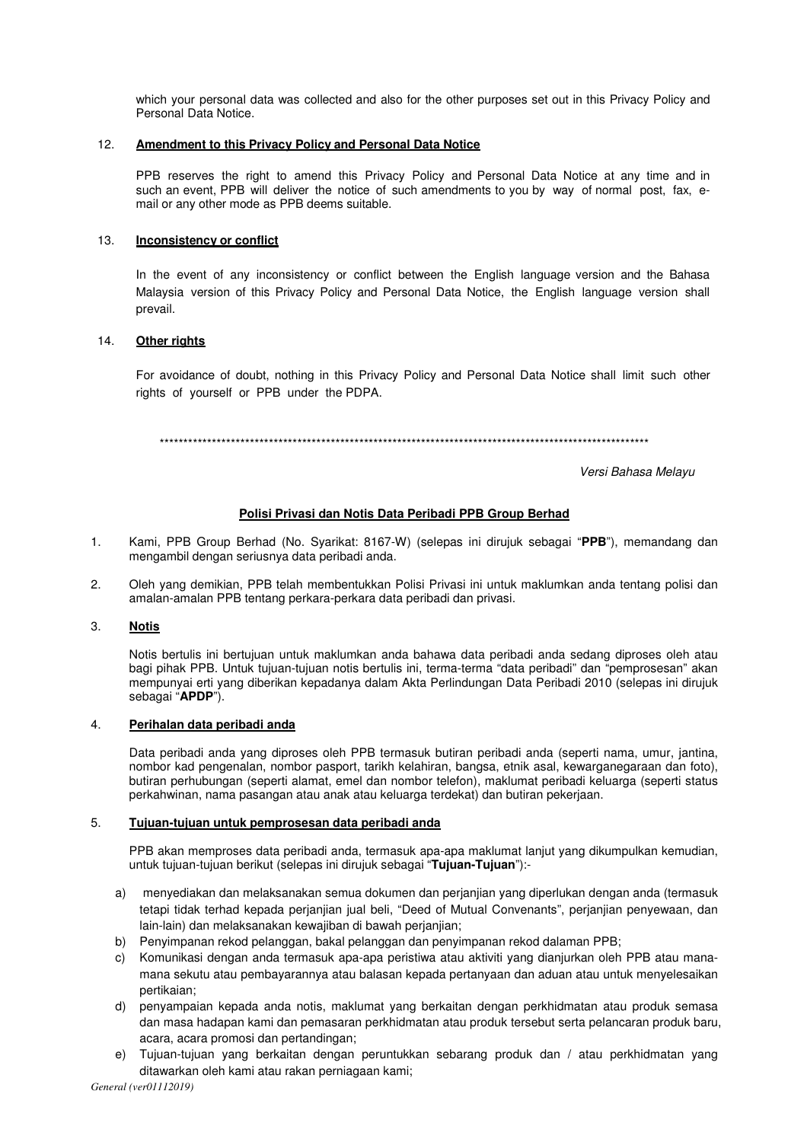which your personal data was collected and also for the other purposes set out in this Privacy Policy and Personal Data Notice.

# 12. **Amendment to this Privacy Policy and Personal Data Notice**

PPB reserves the right to amend this Privacy Policy and Personal Data Notice at any time and in such an event. PPB will deliver the notice of such amendments to you by way of normal post, fax, email or any other mode as PPB deems suitable.

# 13. **Inconsistency or conflict**

In the event of any inconsistency or conflict between the English language version and the Bahasa Malaysia version of this Privacy Policy and Personal Data Notice, the English language version shall prevail.

# 14. **Other rights**

For avoidance of doubt, nothing in this Privacy Policy and Personal Data Notice shall limit such other rights of yourself or PPB under the PDPA.

\*\*\*\*\*\*\*\*\*\*\*\*\*\*\*\*\*\*\*\*\*\*\*\*\*\*\*\*\*\*\*\*\*\*\*\*\*\*\*\*\*\*\*\*\*\*\*\*\*\*\*\*\*\*\*\*\*\*\*\*\*\*\*\*\*\*\*\*\*\*\*\*\*\*\*\*\*\*\*\*\*\*\*\*\*\*\*\*\*\*\*\*\*\*\*\*\*\*\*\*\*\*\*

Versi Bahasa Melayu

# **Polisi Privasi dan Notis Data Peribadi PPB Group Berhad**

- 1. Kami, PPB Group Berhad (No. Syarikat: 8167-W) (selepas ini dirujuk sebagai "**PPB**"), memandang dan mengambil dengan seriusnya data peribadi anda.
- 2. Oleh yang demikian, PPB telah membentukkan Polisi Privasi ini untuk maklumkan anda tentang polisi dan amalan-amalan PPB tentang perkara-perkara data peribadi dan privasi.

# 3. **Notis**

Notis bertulis ini bertujuan untuk maklumkan anda bahawa data peribadi anda sedang diproses oleh atau bagi pihak PPB. Untuk tujuan-tujuan notis bertulis ini, terma-terma "data peribadi" dan "pemprosesan" akan mempunyai erti yang diberikan kepadanya dalam Akta Perlindungan Data Peribadi 2010 (selepas ini dirujuk sebagai "**APDP**").

## 4. **Perihalan data peribadi anda**

Data peribadi anda yang diproses oleh PPB termasuk butiran peribadi anda (seperti nama, umur, jantina, nombor kad pengenalan, nombor pasport, tarikh kelahiran, bangsa, etnik asal, kewarganegaraan dan foto), butiran perhubungan (seperti alamat, emel dan nombor telefon), maklumat peribadi keluarga (seperti status perkahwinan, nama pasangan atau anak atau keluarga terdekat) dan butiran pekerjaan.

# 5. **Tujuan-tujuan untuk pemprosesan data peribadi anda**

PPB akan memproses data peribadi anda, termasuk apa-apa maklumat lanjut yang dikumpulkan kemudian, untuk tujuan-tujuan berikut (selepas ini dirujuk sebagai "**Tujuan-Tujuan**"):-

- a) menyediakan dan melaksanakan semua dokumen dan perjanjian yang diperlukan dengan anda (termasuk tetapi tidak terhad kepada perjanjian jual beli, "Deed of Mutual Convenants", perjanjian penyewaan, dan lain-lain) dan melaksanakan kewajiban di bawah perjanjian;
- b) Penyimpanan rekod pelanggan, bakal pelanggan dan penyimpanan rekod dalaman PPB;
- c) Komunikasi dengan anda termasuk apa-apa peristiwa atau aktiviti yang dianjurkan oleh PPB atau manamana sekutu atau pembayarannya atau balasan kepada pertanyaan dan aduan atau untuk menyelesaikan pertikaian;
- d) penyampaian kepada anda notis, maklumat yang berkaitan dengan perkhidmatan atau produk semasa dan masa hadapan kami dan pemasaran perkhidmatan atau produk tersebut serta pelancaran produk baru, acara, acara promosi dan pertandingan;
- e) Tujuan-tujuan yang berkaitan dengan peruntukkan sebarang produk dan / atau perkhidmatan yang ditawarkan oleh kami atau rakan perniagaan kami;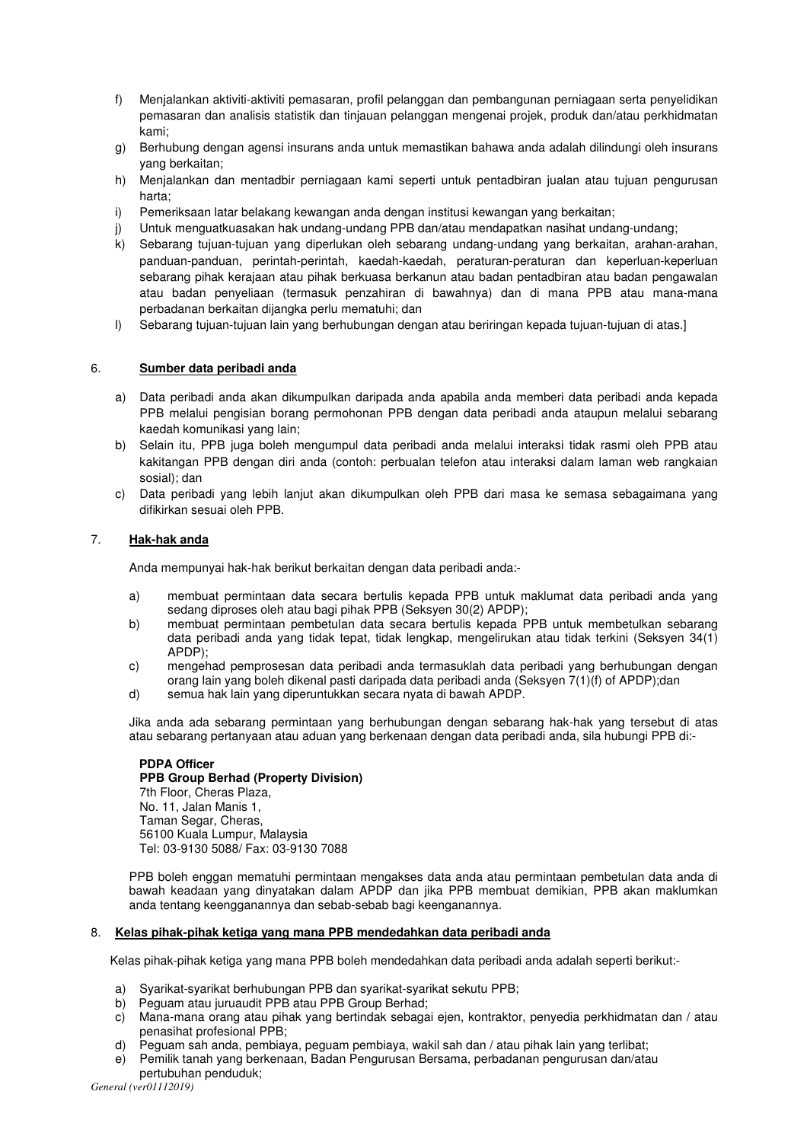- f) Menjalankan aktiviti-aktiviti pemasaran, profil pelanggan dan pembangunan perniagaan serta penyelidikan pemasaran dan analisis statistik dan tinjauan pelanggan mengenai projek, produk dan/atau perkhidmatan kami;
- g) Berhubung dengan agensi insurans anda untuk memastikan bahawa anda adalah dilindungi oleh insurans yang berkaitan;
- h) Menjalankan dan mentadbir perniagaan kami seperti untuk pentadbiran jualan atau tujuan pengurusan harta;
- i) Pemeriksaan latar belakang kewangan anda dengan institusi kewangan yang berkaitan;
- j) Untuk menguatkuasakan hak undang-undang PPB dan/atau mendapatkan nasihat undang-undang;
- k) Sebarang tujuan-tujuan yang diperlukan oleh sebarang undang-undang yang berkaitan, arahan-arahan, panduan-panduan, perintah-perintah, kaedah-kaedah, peraturan-peraturan dan keperluan-keperluan sebarang pihak kerajaan atau pihak berkuasa berkanun atau badan pentadbiran atau badan pengawalan atau badan penyeliaan (termasuk penzahiran di bawahnya) dan di mana PPB atau mana-mana perbadanan berkaitan dijangka perlu mematuhi; dan
- l) Sebarang tujuan-tujuan lain yang berhubungan dengan atau beriringan kepada tujuan-tujuan di atas.]

# 6. **Sumber data peribadi anda**

- a) Data peribadi anda akan dikumpulkan daripada anda apabila anda memberi data peribadi anda kepada PPB melalui pengisian borang permohonan PPB dengan data peribadi anda ataupun melalui sebarang kaedah komunikasi yang lain;
- b) Selain itu, PPB juga boleh mengumpul data peribadi anda melalui interaksi tidak rasmi oleh PPB atau kakitangan PPB dengan diri anda (contoh: perbualan telefon atau interaksi dalam laman web rangkaian sosial); dan
- c) Data peribadi yang lebih lanjut akan dikumpulkan oleh PPB dari masa ke semasa sebagaimana yang difikirkan sesuai oleh PPB.

# 7. **Hak-hak anda**

Anda mempunyai hak-hak berikut berkaitan dengan data peribadi anda:-

- a) membuat permintaan data secara bertulis kepada PPB untuk maklumat data peribadi anda yang sedang diproses oleh atau bagi pihak PPB (Seksyen 30(2) APDP);
- b) membuat permintaan pembetulan data secara bertulis kepada PPB untuk membetulkan sebarang data peribadi anda yang tidak tepat, tidak lengkap, mengelirukan atau tidak terkini (Seksyen 34(1) APDP);
- c) mengehad pemprosesan data peribadi anda termasuklah data peribadi yang berhubungan dengan orang lain yang boleh dikenal pasti daripada data peribadi anda (Seksyen 7(1)(f) of APDP);dan
- d) semua hak lain yang diperuntukkan secara nyata di bawah APDP.

Jika anda ada sebarang permintaan yang berhubungan dengan sebarang hak-hak yang tersebut di atas atau sebarang pertanyaan atau aduan yang berkenaan dengan data peribadi anda, sila hubungi PPB di:-

### **PDPA Officer PPB Group Berhad (Property Division)** 7th Floor, Cheras Plaza, No. 11, Jalan Manis 1, Taman Segar, Cheras, 56100 Kuala Lumpur, Malaysia Tel: 03-9130 5088/ Fax: 03-9130 7088

PPB boleh enggan mematuhi permintaan mengakses data anda atau permintaan pembetulan data anda di bawah keadaan yang dinyatakan dalam APDP dan jika PPB membuat demikian, PPB akan maklumkan anda tentang keengganannya dan sebab-sebab bagi keenganannya.

# 8. **Kelas pihak-pihak ketiga yang mana PPB mendedahkan data peribadi anda**

Kelas pihak-pihak ketiga yang mana PPB boleh mendedahkan data peribadi anda adalah seperti berikut:-

- a) Syarikat-syarikat berhubungan PPB dan syarikat-syarikat sekutu PPB;
- b) Peguam atau juruaudit PPB atau PPB Group Berhad;
- c) Mana-mana orang atau pihak yang bertindak sebagai ejen, kontraktor, penyedia perkhidmatan dan / atau penasihat profesional PPB;
- d) Peguam sah anda, pembiaya, peguam pembiaya, wakil sah dan / atau pihak lain yang terlibat;
- e) Pemilik tanah yang berkenaan, Badan Pengurusan Bersama, perbadanan pengurusan dan/atau pertubuhan penduduk;